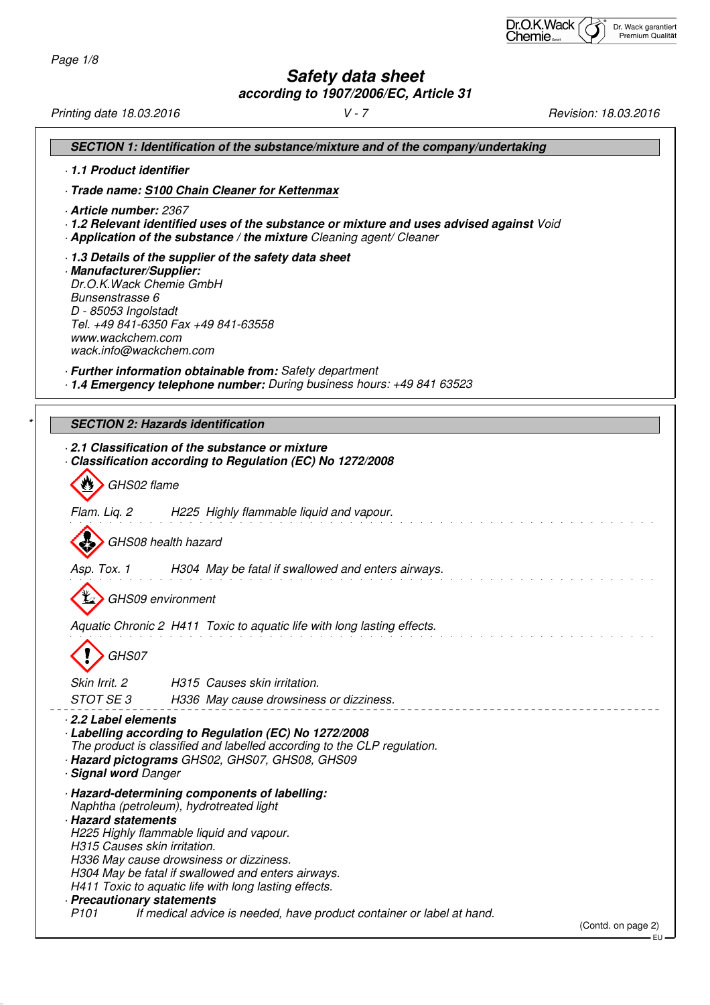# **Safety data sheet**

**according to 1907/2006/EC, Article 31**

Printing date 18.03.2016 V - 7 Revision: 18.03.2016 **SECTION 1: Identification of the substance/mixture and of the company/undertaking** · **1.1 Product identifier** · **Trade name: S100 Chain Cleaner for Kettenmax** · **Article number:** 2367 · **1.2 Relevant identified uses of the substance or mixture and uses advised against** Void · **Application of the substance / the mixture** Cleaning agent/ Cleaner · **1.3 Details of the supplier of the safety data sheet** · **Manufacturer/Supplier:** Dr.O.K.Wack Chemie GmbH Bunsenstrasse 6 D - 85053 Ingolstadt Tel. +49 841-6350 Fax +49 841-63558 www.wackchem.com wack.info@wackchem.com · **Further information obtainable from:** Safety department · **1.4 Emergency telephone number:** During business hours: +49 841 63523 **SECTION 2: Hazards identification** · **2.1 Classification of the substance or mixture** · **Classification according to Regulation (EC) No 1272/2008** W GHS02 flame Flam. Liq. 2 H225 Highly flammable liquid and vapour. GHS08 health hazard Asp. Tox. 1 H304 May be fatal if swallowed and enters airways. GHS09 environment Aquatic Chronic 2 H411 Toxic to aquatic life with long lasting effects. GHS07 Skin Irrit. 2 **H315** Causes skin irritation. STOT SE 3 H336 May cause drowsiness or dizziness. · **2.2 Label elements** · **Labelling according to Regulation (EC) No 1272/2008** The product is classified and labelled according to the CLP regulation. · **Hazard pictograms** GHS02, GHS07, GHS08, GHS09 · **Signal word** Danger · **Hazard-determining components of labelling:** Naphtha (petroleum), hydrotreated light · **Hazard statements** H225 Highly flammable liquid and vapour. H315 Causes skin irritation. H336 May cause drowsiness or dizziness. H304 May be fatal if swallowed and enters airways. H411 Toxic to aquatic life with long lasting effects. · **Precautionary statements** If medical advice is needed, have product container or label at hand. (Contd. on page 2)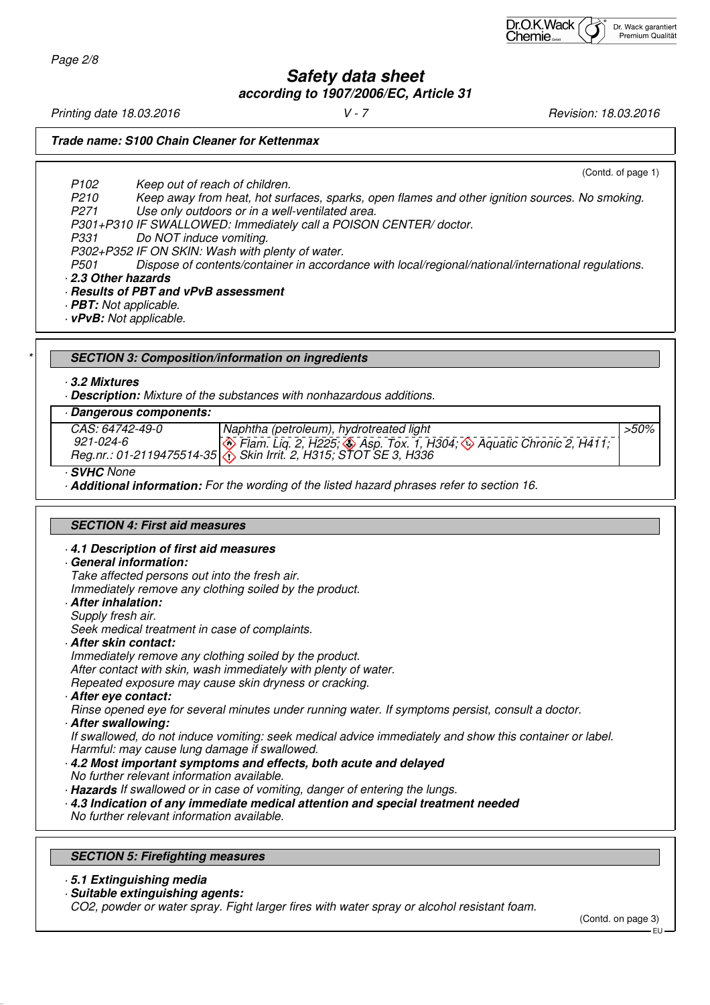**Safety data sheet according to 1907/2006/EC, Article 31**

Printing date 18.03.2016 **V** - 7 **V** - 7 **Revision: 18.03.2016** 

Page 2/8

**Trade name: S100 Chain Cleaner for Kettenmax**

(Contd. of page 1)

P102 Keep out of reach of children. P210 Keep away from heat, hot surfaces, sparks, open flames and other ignition sources. No smoking. P271 Use only outdoors or in a well-ventilated area. P301+P310 IF SWALLOWED: Immediately call a POISON CENTER/ doctor. Do NOT induce vomiting. P302+P352 IF ON SKIN: Wash with plenty of water.

P501 Dispose of contents/container in accordance with local/regional/national/international regulations.

· **2.3 Other hazards**

· **Results of PBT and vPvB assessment**

· **PBT:** Not applicable.

· **vPvB:** Not applicable.

\* **SECTION 3: Composition/information on ingredients**

· **3.2 Mixtures**

· **Description:** Mixture of the substances with nonhazardous additions.

## · **Dangerous components:**

| <i>CAS: 64742-49-0</i> | Naphtha (petroleum), hydrotreated light                                                                              | >50% |
|------------------------|----------------------------------------------------------------------------------------------------------------------|------|
| 921-024-6              | $\langle \diamondsuit$ Flam. Liq. 2, H225; $\diamondsuit$ Asp. Tox. 1, H304; $\diamondsuit$ Aquatic Chronic 2, H411; |      |
|                        | Reg.nr.: 01-2119475514-35 \. Skin Irrit. 2, H315; STOT SE 3, H336                                                    |      |

· **SVHC** None

· **Additional information:** For the wording of the listed hazard phrases refer to section 16.

#### **SECTION 4: First aid measures**

#### · **4.1 Description of first aid measures**

· **General information:**

Take affected persons out into the fresh air.

Immediately remove any clothing soiled by the product.

- · **After inhalation:**
- Supply fresh air.

Seek medical treatment in case of complaints.

· **After skin contact:**

Immediately remove any clothing soiled by the product. After contact with skin, wash immediately with plenty of water. Repeated exposure may cause skin dryness or cracking.

· **After eye contact:**

Rinse opened eye for several minutes under running water. If symptoms persist, consult a doctor.

· **After swallowing:**

If swallowed, do not induce vomiting: seek medical advice immediately and show this container or label. Harmful: may cause lung damage if swallowed.

- · **4.2 Most important symptoms and effects, both acute and delayed** No further relevant information available.
- · **Hazards** If swallowed or in case of vomiting, danger of entering the lungs.
- · **4.3 Indication of any immediate medical attention and special treatment needed**

No further relevant information available.

#### **SECTION 5: Firefighting measures**

- · **5.1 Extinguishing media**
- · **Suitable extinguishing agents:** CO2, powder or water spray. Fight larger fires with water spray or alcohol resistant foam.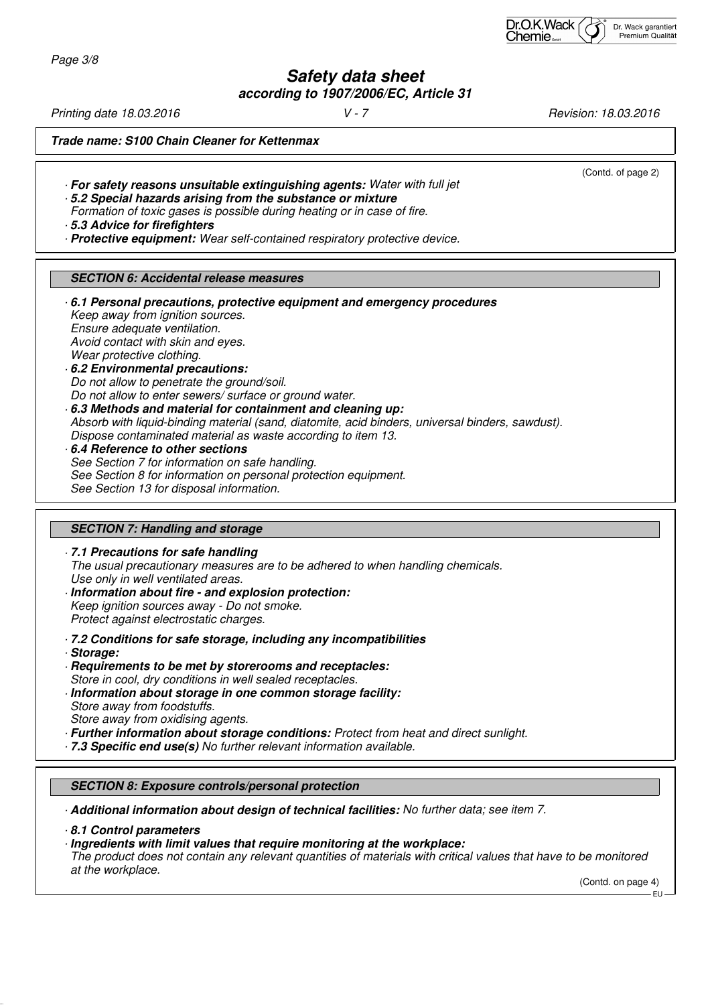| Dr.O.K.Wack $\sqrt{\overrightarrow{f}}$<br>Chemie |  | Dr. Wack garantiert<br>Premium Qualität |
|---------------------------------------------------|--|-----------------------------------------|
|---------------------------------------------------|--|-----------------------------------------|

Page 3/8

**Safety data sheet according to 1907/2006/EC, Article 31**

**Trade name: S100 Chain Cleaner for Kettenmax** (Contd. of page 2) · **For safety reasons unsuitable extinguishing agents:** Water with full jet · **5.2 Special hazards arising from the substance or mixture** Formation of toxic gases is possible during heating or in case of fire. · **5.3 Advice for firefighters** · **Protective equipment:** Wear self-contained respiratory protective device. **SECTION 6: Accidental release measures** · **6.1 Personal precautions, protective equipment and emergency procedures** Keep away from ignition sources. Ensure adequate ventilation. Avoid contact with skin and eyes. Wear protective clothing.

- · **6.2 Environmental precautions:** Do not allow to penetrate the ground/soil. Do not allow to enter sewers/ surface or ground water. · **6.3 Methods and material for containment and cleaning up:**
- Absorb with liquid-binding material (sand, diatomite, acid binders, universal binders, sawdust). Dispose contaminated material as waste according to item 13.
- · **6.4 Reference to other sections** See Section 7 for information on safe handling. See Section 8 for information on personal protection equipment. See Section 13 for disposal information.

## **SECTION 7: Handling and storage**

· **7.1 Precautions for safe handling** The usual precautionary measures are to be adhered to when handling chemicals. Use only in well ventilated areas.

- · **Information about fire and explosion protection:** Keep ignition sources away - Do not smoke. Protect against electrostatic charges.
- · **7.2 Conditions for safe storage, including any incompatibilities**
- · **Storage:**
- · **Requirements to be met by storerooms and receptacles:** Store in cool, dry conditions in well sealed receptacles. · **Information about storage in one common storage facility:**
- Store away from foodstuffs. Store away from oxidising agents.
- · **Further information about storage conditions:** Protect from heat and direct sunlight.
- · **7.3 Specific end use(s)** No further relevant information available.

# **SECTION 8: Exposure controls/personal protection**

· **Additional information about design of technical facilities:** No further data; see item 7.

· **8.1 Control parameters**

· **Ingredients with limit values that require monitoring at the workplace:** The product does not contain any relevant quantities of materials with critical values that have to be monitored at the workplace.

(Contd. on page 4)

EU

Printing date 18.03.2016 **V** - 7 **V** - 7 **Revision: 18.03.2016**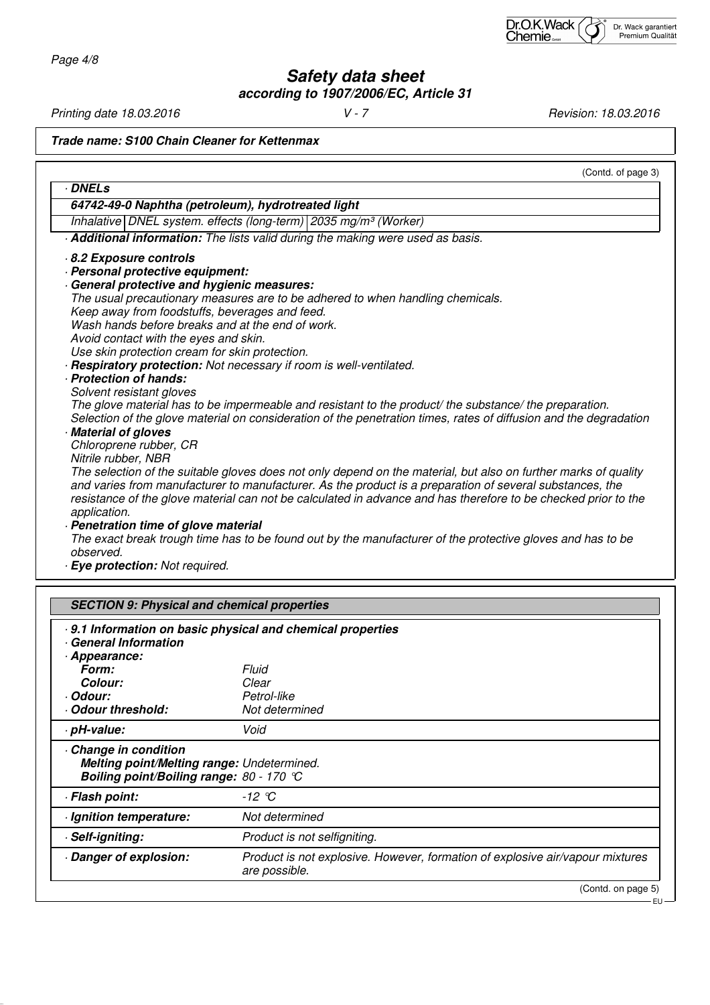Page 4/8

**Safety data sheet according to 1907/2006/EC, Article 31**

Printing date 18.03.2016 **V** - 7 **V** - 7 **Revision: 18.03.2016** 

**Trade name: S100 Chain Cleaner for Kettenmax**

| <b>DNELs</b>                                                                                                                                                                                                                                                                                                                                                                                                                         |                                                                                                                                                                                                                                                                                                                                                                                                                                                                                                                                                                                                                                                                                                                                       |
|--------------------------------------------------------------------------------------------------------------------------------------------------------------------------------------------------------------------------------------------------------------------------------------------------------------------------------------------------------------------------------------------------------------------------------------|---------------------------------------------------------------------------------------------------------------------------------------------------------------------------------------------------------------------------------------------------------------------------------------------------------------------------------------------------------------------------------------------------------------------------------------------------------------------------------------------------------------------------------------------------------------------------------------------------------------------------------------------------------------------------------------------------------------------------------------|
|                                                                                                                                                                                                                                                                                                                                                                                                                                      | 64742-49-0 Naphtha (petroleum), hydrotreated light                                                                                                                                                                                                                                                                                                                                                                                                                                                                                                                                                                                                                                                                                    |
|                                                                                                                                                                                                                                                                                                                                                                                                                                      | Inhalative DNEL system. effects (long-term) 2035 mg/m <sup>3</sup> (Worker)                                                                                                                                                                                                                                                                                                                                                                                                                                                                                                                                                                                                                                                           |
|                                                                                                                                                                                                                                                                                                                                                                                                                                      | Additional information: The lists valid during the making were used as basis.                                                                                                                                                                                                                                                                                                                                                                                                                                                                                                                                                                                                                                                         |
| 8.2 Exposure controls<br>· Personal protective equipment:<br>General protective and hygienic measures:<br>Keep away from foodstuffs, beverages and feed.<br>Wash hands before breaks and at the end of work.<br>Avoid contact with the eyes and skin.<br>Use skin protection cream for skin protection.<br>· Protection of hands:<br>Solvent resistant gloves<br>Material of gloves<br>Chloroprene rubber, CR<br>Nitrile rubber, NBR | The usual precautionary measures are to be adhered to when handling chemicals.<br>· Respiratory protection: Not necessary if room is well-ventilated.<br>The glove material has to be impermeable and resistant to the product/ the substance/ the preparation.<br>Selection of the glove material on consideration of the penetration times, rates of diffusion and the degradation<br>The selection of the suitable gloves does not only depend on the material, but also on further marks of quality<br>and varies from manufacturer to manufacturer. As the product is a preparation of several substances, the<br>resistance of the glove material can not be calculated in advance and has therefore to be checked prior to the |
| application.<br>· Penetration time of glove material<br>observed.<br>· Eye protection: Not required.                                                                                                                                                                                                                                                                                                                                 | The exact break trough time has to be found out by the manufacturer of the protective gloves and has to be                                                                                                                                                                                                                                                                                                                                                                                                                                                                                                                                                                                                                            |
|                                                                                                                                                                                                                                                                                                                                                                                                                                      |                                                                                                                                                                                                                                                                                                                                                                                                                                                                                                                                                                                                                                                                                                                                       |
| <b>SECTION 9: Physical and chemical properties</b>                                                                                                                                                                                                                                                                                                                                                                                   |                                                                                                                                                                                                                                                                                                                                                                                                                                                                                                                                                                                                                                                                                                                                       |
| <b>General Information</b>                                                                                                                                                                                                                                                                                                                                                                                                           | 9.1 Information on basic physical and chemical properties                                                                                                                                                                                                                                                                                                                                                                                                                                                                                                                                                                                                                                                                             |
| - Appearance:                                                                                                                                                                                                                                                                                                                                                                                                                        |                                                                                                                                                                                                                                                                                                                                                                                                                                                                                                                                                                                                                                                                                                                                       |
| Form:                                                                                                                                                                                                                                                                                                                                                                                                                                | Fluid                                                                                                                                                                                                                                                                                                                                                                                                                                                                                                                                                                                                                                                                                                                                 |
| Colour:                                                                                                                                                                                                                                                                                                                                                                                                                              | Clear<br>Petrol-like                                                                                                                                                                                                                                                                                                                                                                                                                                                                                                                                                                                                                                                                                                                  |
|                                                                                                                                                                                                                                                                                                                                                                                                                                      | Not determined                                                                                                                                                                                                                                                                                                                                                                                                                                                                                                                                                                                                                                                                                                                        |
| · Odour:<br>Odour threshold:<br>· pH-value:                                                                                                                                                                                                                                                                                                                                                                                          | Void                                                                                                                                                                                                                                                                                                                                                                                                                                                                                                                                                                                                                                                                                                                                  |
| Melting point/Melting range: Undetermined.<br>Boiling point/Boiling range: 80 - 170 °C                                                                                                                                                                                                                                                                                                                                               |                                                                                                                                                                                                                                                                                                                                                                                                                                                                                                                                                                                                                                                                                                                                       |
|                                                                                                                                                                                                                                                                                                                                                                                                                                      | $-12$ °C                                                                                                                                                                                                                                                                                                                                                                                                                                                                                                                                                                                                                                                                                                                              |
|                                                                                                                                                                                                                                                                                                                                                                                                                                      | Not determined                                                                                                                                                                                                                                                                                                                                                                                                                                                                                                                                                                                                                                                                                                                        |
| Change in condition<br>· Flash point:<br>· Ignition temperature:<br>· Self-igniting:                                                                                                                                                                                                                                                                                                                                                 | Product is not selfigniting.                                                                                                                                                                                                                                                                                                                                                                                                                                                                                                                                                                                                                                                                                                          |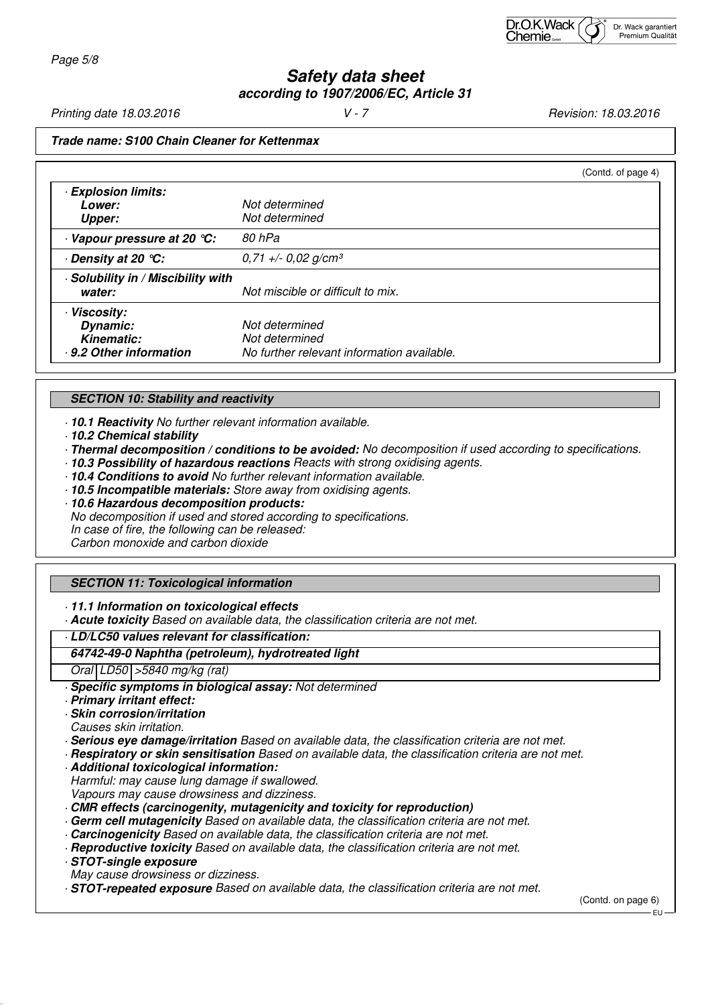# **Safety data sheet according to 1907/2006/EC, Article 31**

Printing date 18.03.2016 **V** - 7 **V** - 7 **Revision: 18.03.2016** 

#### **Trade name: S100 Chain Cleaner for Kettenmax**

|                                                                        | (Contd. of page 4)                                                             |
|------------------------------------------------------------------------|--------------------------------------------------------------------------------|
| <b>Explosion limits:</b><br><i>Lower:</i><br><b>Upper:</b>             | Not determined<br>Not determined                                               |
| Vapour pressure at 20 °C:                                              | 80 hPa                                                                         |
| ⋅ Density at 20 ℃:                                                     | $0,71 +/- 0,02$ g/cm <sup>3</sup>                                              |
| · Solubility in / Miscibility with<br>water:                           | Not miscible or difficult to mix.                                              |
| · Viscosity:<br>Dynamic:<br><b>Kinematic:</b><br>9.2 Other information | Not determined<br>Not determined<br>No further relevant information available. |

#### **SECTION 10: Stability and reactivity**

· **10.1 Reactivity** No further relevant information available.

- · **10.2 Chemical stability**
- · **Thermal decomposition / conditions to be avoided:** No decomposition if used according to specifications.
- · **10.3 Possibility of hazardous reactions** Reacts with strong oxidising agents.
- · **10.4 Conditions to avoid** No further relevant information available.
- · **10.5 Incompatible materials:** Store away from oxidising agents.
- · **10.6 Hazardous decomposition products:** No decomposition if used and stored according to specifications. In case of fire, the following can be released: Carbon monoxide and carbon dioxide

## **SECTION 11: Toxicological information**

· **11.1 Information on toxicological effects**

· **Acute toxicity** Based on available data, the classification criteria are not met.

#### · **LD/LC50 values relevant for classification:**

#### **64742-49-0 Naphtha (petroleum), hydrotreated light**

Oral LD50 >5840 mg/kg (rat)

· **Specific symptoms in biological assay:** Not determined

- · **Primary irritant effect:**
- · **Skin corrosion/irritation**

Causes skin irritation.

· **Serious eye damage/irritation** Based on available data, the classification criteria are not met.

- · **Respiratory or skin sensitisation** Based on available data, the classification criteria are not met.
- · **Additional toxicological information:**

Harmful: may cause lung damage if swallowed. Vapours may cause drowsiness and dizziness.

- · **CMR effects (carcinogenity, mutagenicity and toxicity for reproduction)**
- · **Germ cell mutagenicity** Based on available data, the classification criteria are not met.
- · **Carcinogenicity** Based on available data, the classification criteria are not met.
- · **Reproductive toxicity** Based on available data, the classification criteria are not met.

· **STOT-single exposure**

- May cause drowsiness or dizziness.
- · **STOT-repeated exposure** Based on available data, the classification criteria are not met.

(Contd. on page 6)

EU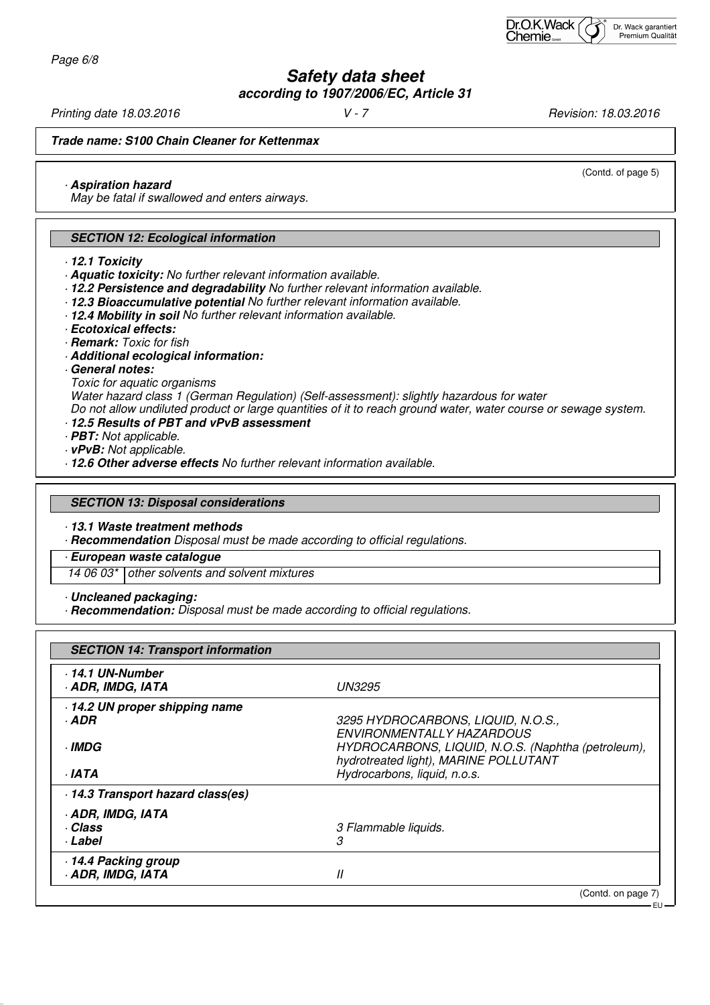Page 6/8

# **Safety data sheet according to 1907/2006/EC, Article 31**

Printing date 18.03.2016 **V** - 7 **V** - 7 **Revision: 18.03.2016** 

(Contd. of page 5)

**Trade name: S100 Chain Cleaner for Kettenmax**

· **Aspiration hazard**

May be fatal if swallowed and enters airways.

## **SECTION 12: Ecological information**

- · **12.1 Toxicity**
- · **Aquatic toxicity:** No further relevant information available.
- · **12.2 Persistence and degradability** No further relevant information available.
- · **12.3 Bioaccumulative potential** No further relevant information available.
- · **12.4 Mobility in soil** No further relevant information available.
- · **Ecotoxical effects:**
- · **Remark:** Toxic for fish
- · **Additional ecological information:**
- · **General notes:**
- Toxic for aquatic organisms

Water hazard class 1 (German Regulation) (Self-assessment): slightly hazardous for water

Do not allow undiluted product or large quantities of it to reach ground water, water course or sewage system.

- · **12.5 Results of PBT and vPvB assessment**
- · **PBT:** Not applicable.
- · **vPvB:** Not applicable.
- · **12.6 Other adverse effects** No further relevant information available.

#### **SECTION 13: Disposal considerations**

· **13.1 Waste treatment methods**

· **Recommendation** Disposal must be made according to official regulations.

· **European waste catalogue**

14 06 03\* other solvents and solvent mixtures

· **Uncleaned packaging:**

· **Recommendation:** Disposal must be made according to official regulations.

| <b>SECTION 14: Transport information</b> |                                                                                             |
|------------------------------------------|---------------------------------------------------------------------------------------------|
| 14.1 UN-Number<br>ADR, IMDG, IATA        | <b>UN3295</b>                                                                               |
| 14.2 UN proper shipping name             |                                                                                             |
| · ADR                                    | 3295 HYDROCARBONS, LIQUID, N.O.S.,<br>ENVIRONMENTALLY HAZARDOUS                             |
| <b>IMDG</b>                              | HYDROCARBONS, LIQUID, N.O.S. (Naphtha (petroleum),<br>hydrotreated light), MARINE POLLUTANT |
| · IATA                                   | Hydrocarbons, liquid, n.o.s.                                                                |
| 14.3 Transport hazard class(es)          |                                                                                             |
| · ADR, IMDG, IATA                        |                                                                                             |
| · Class                                  | 3 Flammable liquids.                                                                        |
| · Label                                  | 3                                                                                           |
| 14.4 Packing group                       |                                                                                             |
| <b>ADR, IMDG, IATA</b>                   | II                                                                                          |
|                                          | (Contd. on page 7)                                                                          |
|                                          | EU –                                                                                        |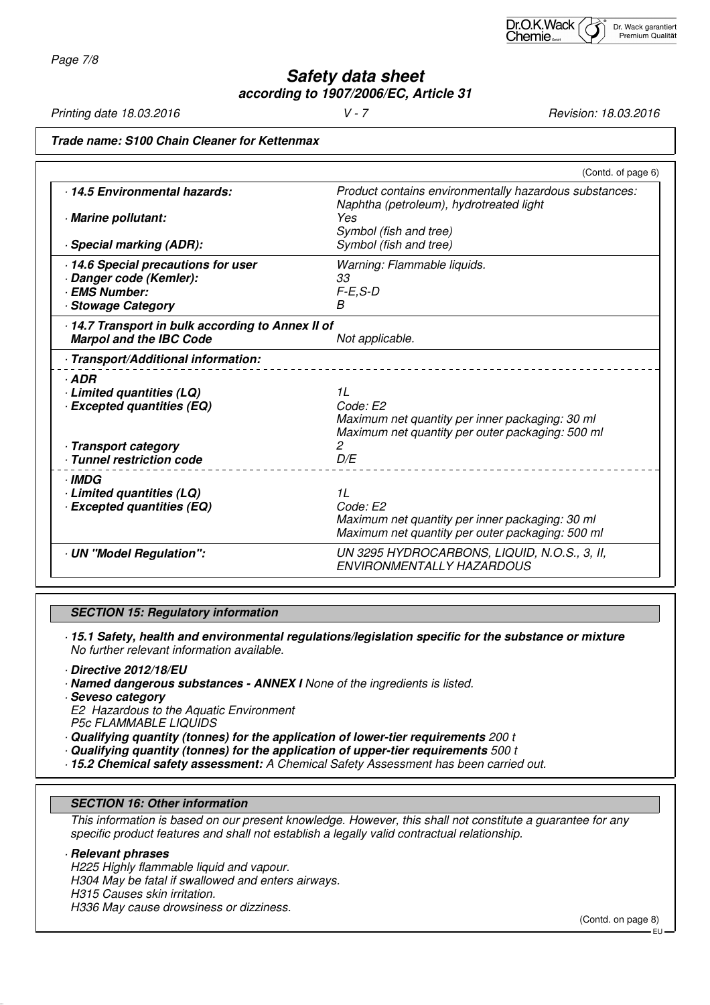Page 7/8

**Safety data sheet according to 1907/2006/EC, Article 31**

Printing date 18.03.2016 **V** - 7 **V** - 7 **Revision: 18.03.2016** 

## **Trade name: S100 Chain Cleaner for Kettenmax**

|                                                                                    | (Contd. of page 6)                                                                                                    |
|------------------------------------------------------------------------------------|-----------------------------------------------------------------------------------------------------------------------|
| 14.5 Environmental hazards:                                                        | Product contains environmentally hazardous substances:<br>Naphtha (petroleum), hydrotreated light<br>Yes              |
| Marine pollutant:<br>· Special marking (ADR):                                      | Symbol (fish and tree)<br>Symbol (fish and tree)                                                                      |
| · 14.6 Special precautions for user<br>Danger code (Kemler):<br><b>EMS Number:</b> | Warning: Flammable liquids.<br>33<br>$F-E, S-D$                                                                       |
| <b>Stowage Category</b>                                                            | B                                                                                                                     |
| 14.7 Transport in bulk according to Annex II of<br><b>Marpol and the IBC Code</b>  | Not applicable.                                                                                                       |
| · Transport/Additional information:                                                |                                                                                                                       |
| $·$ ADR<br>· Limited quantities (LQ)<br><b>Excepted quantities (EQ)</b>            | 11<br>Code: E2<br>Maximum net quantity per inner packaging: 30 ml<br>Maximum net quantity per outer packaging: 500 ml |
| - Transport category<br>Tunnel restriction code                                    | 2<br>D/E                                                                                                              |
| <b>IMDG</b><br>Limited quantities (LQ)<br><b>Excepted quantities (EQ)</b>          | 1L<br>Code: E2<br>Maximum net quantity per inner packaging: 30 ml<br>Maximum net quantity per outer packaging: 500 ml |
| · UN "Model Regulation":                                                           | UN 3295 HYDROCARBONS, LIQUID, N.O.S., 3, II,<br><b>FNVIRONMENTALLY HAZARDOUS</b>                                      |

## **SECTION 15: Regulatory information**

· **15.1 Safety, health and environmental regulations/legislation specific for the substance or mixture** No further relevant information available.

· **Directive 2012/18/EU**

· **Named dangerous substances - ANNEX I** None of the ingredients is listed.

· **Seveso category** E2 Hazardous to the Aquatic Environment P5c FLAMMABLE LIQUIDS

- · **Qualifying quantity (tonnes) for the application of lower-tier requirements** 200 t
- · **Qualifying quantity (tonnes) for the application of upper-tier requirements** 500 t
- · **15.2 Chemical safety assessment:** A Chemical Safety Assessment has been carried out.

#### **SECTION 16: Other information**

This information is based on our present knowledge. However, this shall not constitute a guarantee for any specific product features and shall not establish a legally valid contractual relationship.

## · **Relevant phrases**

H225 Highly flammable liquid and vapour. H304 May be fatal if swallowed and enters airways. H315 Causes skin irritation. H336 May cause drowsiness or dizziness.

(Contd. on page 8)

EU